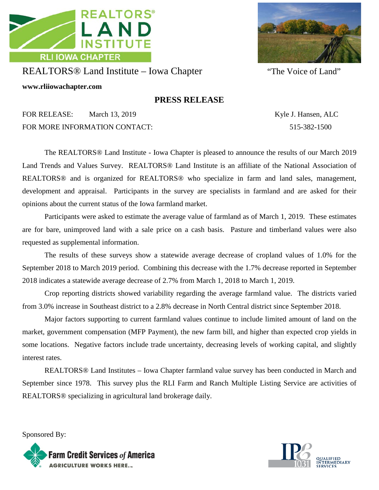



## REALTORS® Land Institute – Iowa Chapter "The Voice of Land"

**www.rliiowachapter.com**

## **PRESS RELEASE**

FOR RELEASE: March 13, 2019 Kyle J. Hansen, ALC FOR MORE INFORMATION CONTACT: 515-382-1500

The REALTORS® Land Institute - Iowa Chapter is pleased to announce the results of our March 2019 Land Trends and Values Survey. REALTORS® Land Institute is an affiliate of the National Association of REALTORS® and is organized for REALTORS® who specialize in farm and land sales, management, development and appraisal. Participants in the survey are specialists in farmland and are asked for their opinions about the current status of the Iowa farmland market.

Participants were asked to estimate the average value of farmland as of March 1, 2019. These estimates are for bare, unimproved land with a sale price on a cash basis. Pasture and timberland values were also requested as supplemental information.

The results of these surveys show a statewide average decrease of cropland values of 1.0% for the September 2018 to March 2019 period. Combining this decrease with the 1.7% decrease reported in September 2018 indicates a statewide average decrease of 2.7% from March 1, 2018 to March 1, 2019.

Crop reporting districts showed variability regarding the average farmland value. The districts varied from 3.0% increase in Southeast district to a 2.8% decrease in North Central district since September 2018.

Major factors supporting to current farmland values continue to include limited amount of land on the market, government compensation (MFP Payment), the new farm bill, and higher than expected crop yields in some locations. Negative factors include trade uncertainty, decreasing levels of working capital, and slightly interest rates.

REALTORS® Land Institutes – Iowa Chapter farmland value survey has been conducted in March and September since 1978. This survey plus the RLI Farm and Ranch Multiple Listing Service are activities of REALTORS® specializing in agricultural land brokerage daily.

Sponsored By: